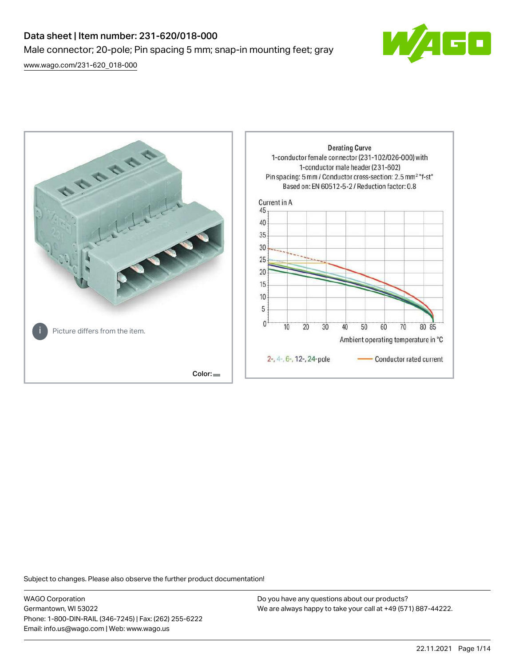# Data sheet | Item number: 231-620/018-000 Male connector; 20-pole; Pin spacing 5 mm; snap-in mounting feet; gray

[www.wago.com/231-620\\_018-000](http://www.wago.com/231-620_018-000)





Subject to changes. Please also observe the further product documentation!

WAGO Corporation Germantown, WI 53022 Phone: 1-800-DIN-RAIL (346-7245) | Fax: (262) 255-6222 Email: info.us@wago.com | Web: www.wago.us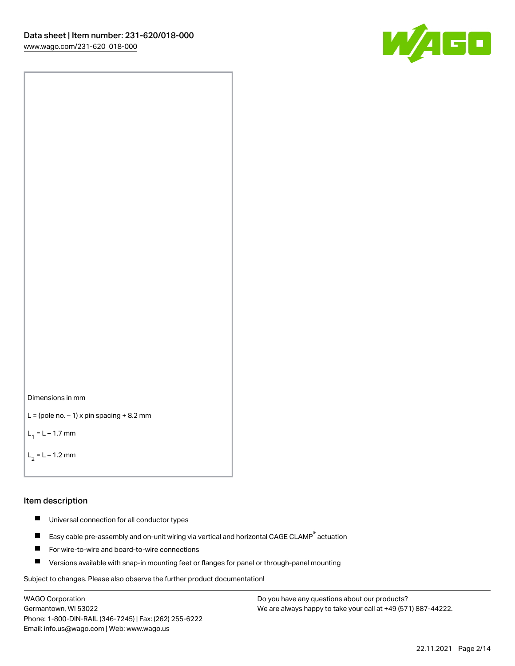



```
L = (pole no. -1) x pin spacing +8.2 mm
```
 $L_1 = L - 1.7$  mm

 $L_2 = L - 1.2$  mm

### Item description

- $\blacksquare$ Universal connection for all conductor types
- Easy cable pre-assembly and on-unit wiring via vertical and horizontal CAGE CLAMP<sup>®</sup> actuation  $\blacksquare$
- $\blacksquare$ For wire-to-wire and board-to-wire connections
- $\blacksquare$ Versions available with snap-in mounting feet or flanges for panel or through-panel mounting

Subject to changes. Please also observe the further product documentation!

WAGO Corporation Germantown, WI 53022 Phone: 1-800-DIN-RAIL (346-7245) | Fax: (262) 255-6222 Email: info.us@wago.com | Web: www.wago.us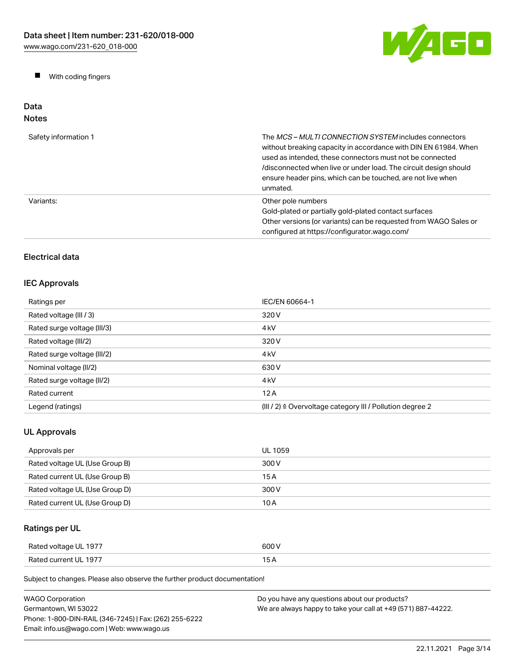W/AGO

 $\blacksquare$ With coding fingers

### Data Notes

| Safety information 1 | The <i>MCS – MULTI CONNECTION SYSTEM</i> includes connectors<br>without breaking capacity in accordance with DIN EN 61984. When<br>used as intended, these connectors must not be connected<br>/disconnected when live or under load. The circuit design should<br>ensure header pins, which can be touched, are not live when<br>unmated. |
|----------------------|--------------------------------------------------------------------------------------------------------------------------------------------------------------------------------------------------------------------------------------------------------------------------------------------------------------------------------------------|
| Variants:            | Other pole numbers<br>Gold-plated or partially gold-plated contact surfaces<br>Other versions (or variants) can be requested from WAGO Sales or<br>configured at https://configurator.wago.com/                                                                                                                                            |

# Electrical data

# IEC Approvals

| Ratings per                 | IEC/EN 60664-1                                                       |
|-----------------------------|----------------------------------------------------------------------|
| Rated voltage (III / 3)     | 320 V                                                                |
| Rated surge voltage (III/3) | 4 <sub>k</sub> V                                                     |
| Rated voltage (III/2)       | 320 V                                                                |
| Rated surge voltage (III/2) | 4 <sub>k</sub> V                                                     |
| Nominal voltage (II/2)      | 630 V                                                                |
| Rated surge voltage (II/2)  | 4 <sub>k</sub> V                                                     |
| Rated current               | 12A                                                                  |
| Legend (ratings)            | (III / 2) $\triangleq$ Overvoltage category III / Pollution degree 2 |

# UL Approvals

| Approvals per                  | UL 1059 |
|--------------------------------|---------|
| Rated voltage UL (Use Group B) | 300 V   |
| Rated current UL (Use Group B) | 15 A    |
| Rated voltage UL (Use Group D) | 300 V   |
| Rated current UL (Use Group D) | 10 A    |

# Ratings per UL

| Rated voltage UL 1977 | 600 V |
|-----------------------|-------|
| Rated current UL 1977 | . .   |

Subject to changes. Please also observe the further product documentation!

| <b>WAGO Corporation</b>                                | Do you have any questions about our products?                 |
|--------------------------------------------------------|---------------------------------------------------------------|
| Germantown. WI 53022                                   | We are always happy to take your call at +49 (571) 887-44222. |
| Phone: 1-800-DIN-RAIL (346-7245)   Fax: (262) 255-6222 |                                                               |
| Email: info.us@wago.com   Web: www.wago.us             |                                                               |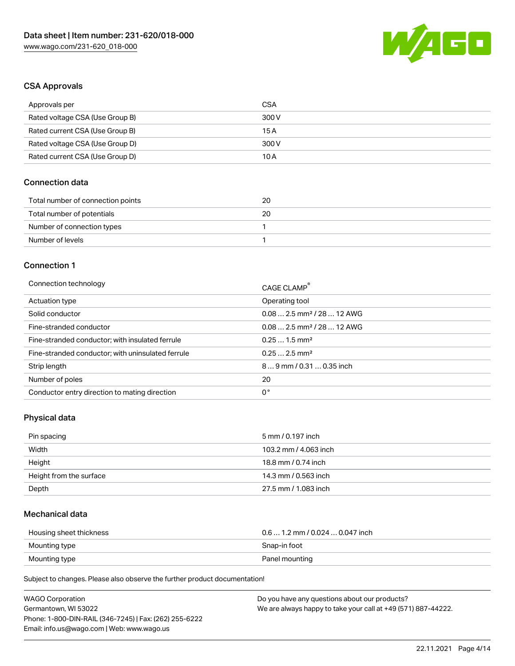

# CSA Approvals

| Approvals per                   | CSA   |
|---------------------------------|-------|
| Rated voltage CSA (Use Group B) | 300 V |
| Rated current CSA (Use Group B) | 15 A  |
| Rated voltage CSA (Use Group D) | 300 V |
| Rated current CSA (Use Group D) | 10 A  |

# Connection data

| Total number of connection points | 20 |
|-----------------------------------|----|
| Total number of potentials        | 20 |
| Number of connection types        |    |
| Number of levels                  |    |

#### Connection 1

| Connection technology                             | CAGE CLAMP <sup>®</sup>                |
|---------------------------------------------------|----------------------------------------|
| Actuation type                                    | Operating tool                         |
| Solid conductor                                   | $0.082.5$ mm <sup>2</sup> / 28  12 AWG |
| Fine-stranded conductor                           | $0.082.5$ mm <sup>2</sup> / 28  12 AWG |
| Fine-stranded conductor; with insulated ferrule   | $0.251.5$ mm <sup>2</sup>              |
| Fine-stranded conductor; with uninsulated ferrule | $0.252.5$ mm <sup>2</sup>              |
| Strip length                                      | $89$ mm / 0.31  0.35 inch              |
| Number of poles                                   | 20                                     |
| Conductor entry direction to mating direction     | 0°                                     |

# Physical data

| Pin spacing             | 5 mm / 0.197 inch     |
|-------------------------|-----------------------|
| Width                   | 103.2 mm / 4.063 inch |
| Height                  | 18.8 mm / 0.74 inch   |
| Height from the surface | 14.3 mm / 0.563 inch  |
| Depth                   | 27.5 mm / 1.083 inch  |

# Mechanical data

| Housing sheet thickness | $0.6$ 1.2 mm / 0.024 $$ 0.047 inch |
|-------------------------|------------------------------------|
| Mounting type           | Snap-in foot                       |
| Mounting type           | Panel mounting                     |

Subject to changes. Please also observe the further product documentation!

| <b>WAGO Corporation</b>                                | Do you have any questions about our products?                 |
|--------------------------------------------------------|---------------------------------------------------------------|
| Germantown, WI 53022                                   | We are always happy to take your call at +49 (571) 887-44222. |
| Phone: 1-800-DIN-RAIL (346-7245)   Fax: (262) 255-6222 |                                                               |
| Email: info.us@wago.com   Web: www.wago.us             |                                                               |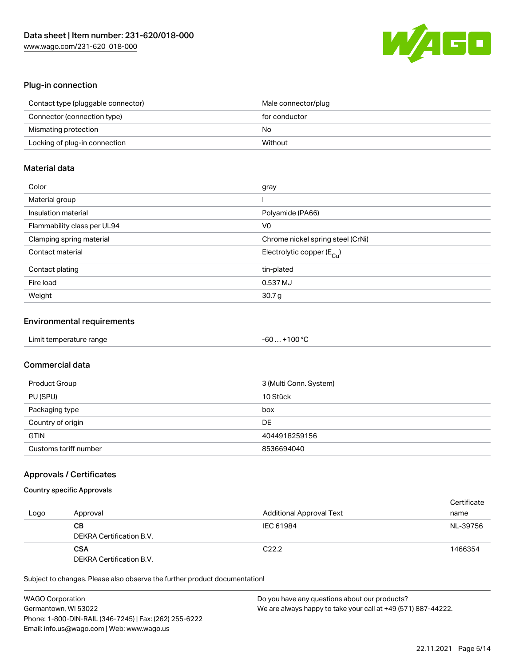

# Plug-in connection

| Contact type (pluggable connector) | Male connector/plug |
|------------------------------------|---------------------|
| Connector (connection type)        | for conductor       |
| Mismating protection               | No                  |
| Locking of plug-in connection      | Without             |

# Material data

| Color                       | gray                                  |
|-----------------------------|---------------------------------------|
| Material group              |                                       |
| Insulation material         | Polyamide (PA66)                      |
| Flammability class per UL94 | V0                                    |
| Clamping spring material    | Chrome nickel spring steel (CrNi)     |
| Contact material            | Electrolytic copper $(E_{\text{Cl}})$ |
| Contact plating             | tin-plated                            |
| Fire load                   | 0.537 MJ                              |
| Weight                      | 30.7 <sub>g</sub>                     |

# Environmental requirements

| Limit temperature range | $-60+100 °C$ |  |
|-------------------------|--------------|--|
|-------------------------|--------------|--|

# Commercial data

| Product Group         | 3 (Multi Conn. System) |
|-----------------------|------------------------|
| PU (SPU)              | 10 Stück               |
| Packaging type        | box                    |
| Country of origin     | DE                     |
| <b>GTIN</b>           | 4044918259156          |
| Customs tariff number | 8536694040             |

# Approvals / Certificates

# Country specific Approvals

| Logo | Approval                               | <b>Additional Approval Text</b> | Certificate<br>name |
|------|----------------------------------------|---------------------------------|---------------------|
|      | CВ<br>DEKRA Certification B.V.         | IEC 61984                       | NL-39756            |
|      | <b>CSA</b><br>DEKRA Certification B.V. | C <sub>22.2</sub>               | 1466354             |

Subject to changes. Please also observe the further product documentation!

| <b>WAGO Corporation</b>                                | Do you have any questions about our products?                 |
|--------------------------------------------------------|---------------------------------------------------------------|
| Germantown, WI 53022                                   | We are always happy to take your call at +49 (571) 887-44222. |
| Phone: 1-800-DIN-RAIL (346-7245)   Fax: (262) 255-6222 |                                                               |
| Email: info.us@wago.com   Web: www.wago.us             |                                                               |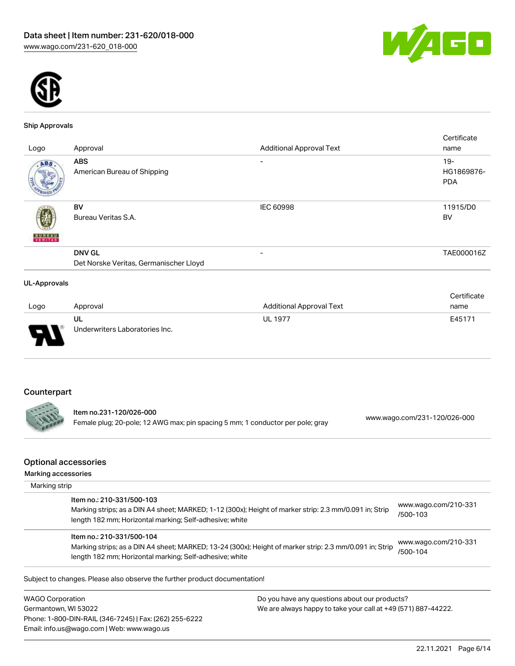



#### Ship Approvals

|                     |                                        |                                 | Certificate |
|---------------------|----------------------------------------|---------------------------------|-------------|
| Logo                | Approval                               | <b>Additional Approval Text</b> | name        |
| ABS.                | <b>ABS</b>                             |                                 | $19 -$      |
|                     | American Bureau of Shipping            |                                 | HG1869876-  |
|                     |                                        |                                 | <b>PDA</b>  |
|                     | BV                                     | IEC 60998                       | 11915/D0    |
|                     | Bureau Veritas S.A.                    |                                 | BV          |
| <b>BUREAU</b>       |                                        |                                 |             |
|                     | <b>DNV GL</b>                          | $\overline{\phantom{a}}$        | TAE000016Z  |
|                     | Det Norske Veritas, Germanischer Lloyd |                                 |             |
| <b>UL-Approvals</b> |                                        |                                 |             |

#### Logo Approval Additional Approval Text **Certificate** name UL Underwriters Laboratories Inc. UL 1977 E45171

# Counterpart

Item no.231-120/026-000 Female plug; 20-pole; 12 AWG max; pin spacing 5 mm; 1 conductor per pole; gray [www.wago.com/231-120/026-000](https://www.wago.com/231-120/026-000)

### Optional accessories

| Marking accessories |                                                                                                                                                                                                 |                                  |  |
|---------------------|-------------------------------------------------------------------------------------------------------------------------------------------------------------------------------------------------|----------------------------------|--|
| Marking strip       |                                                                                                                                                                                                 |                                  |  |
|                     | Item no.: 210-331/500-103<br>Marking strips; as a DIN A4 sheet; MARKED; 1-12 (300x); Height of marker strip: 2.3 mm/0.091 in; Strip<br>length 182 mm; Horizontal marking; Self-adhesive; white  | www.wago.com/210-331<br>/500-103 |  |
|                     | Item no.: 210-331/500-104<br>Marking strips; as a DIN A4 sheet; MARKED; 13-24 (300x); Height of marker strip: 2.3 mm/0.091 in; Strip<br>length 182 mm; Horizontal marking; Self-adhesive; white | www.wago.com/210-331<br>/500-104 |  |

WAGO Corporation Germantown, WI 53022 Phone: 1-800-DIN-RAIL (346-7245) | Fax: (262) 255-6222 Email: info.us@wago.com | Web: www.wago.us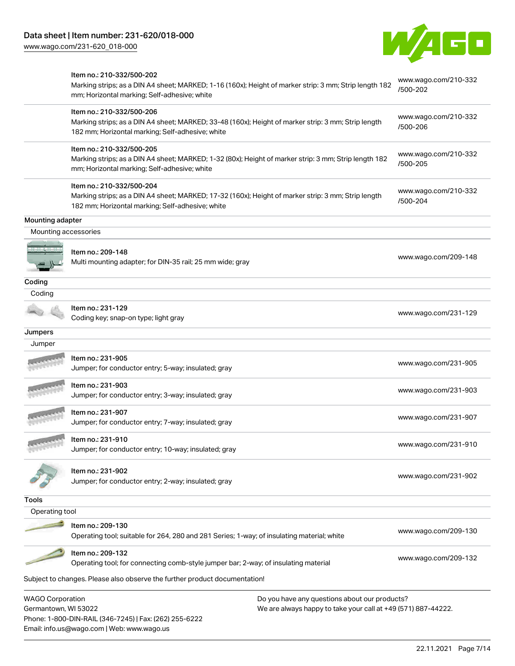Email: info.us@wago.com | Web: www.wago.us

[www.wago.com/231-620\\_018-000](http://www.wago.com/231-620_018-000)



|                                                 | Item no.: 210-332/500-202<br>Marking strips; as a DIN A4 sheet; MARKED; 1-16 (160x); Height of marker strip: 3 mm; Strip length 182<br>mm; Horizontal marking; Self-adhesive; white  |                                                                                                                | www.wago.com/210-332<br>/500-202 |
|-------------------------------------------------|--------------------------------------------------------------------------------------------------------------------------------------------------------------------------------------|----------------------------------------------------------------------------------------------------------------|----------------------------------|
|                                                 | Item no.: 210-332/500-206<br>Marking strips; as a DIN A4 sheet; MARKED; 33-48 (160x); Height of marker strip: 3 mm; Strip length<br>182 mm; Horizontal marking; Self-adhesive; white |                                                                                                                | www.wago.com/210-332<br>/500-206 |
|                                                 | Item no.: 210-332/500-205<br>Marking strips; as a DIN A4 sheet; MARKED; 1-32 (80x); Height of marker strip: 3 mm; Strip length 182<br>mm; Horizontal marking; Self-adhesive; white   |                                                                                                                | www.wago.com/210-332<br>/500-205 |
|                                                 | Item no.: 210-332/500-204<br>Marking strips; as a DIN A4 sheet; MARKED; 17-32 (160x); Height of marker strip: 3 mm; Strip length<br>182 mm; Horizontal marking; Self-adhesive; white |                                                                                                                | www.wago.com/210-332<br>/500-204 |
| Mounting adapter                                |                                                                                                                                                                                      |                                                                                                                |                                  |
| Mounting accessories                            |                                                                                                                                                                                      |                                                                                                                |                                  |
|                                                 | Item no.: 209-148<br>Multi mounting adapter; for DIN-35 rail; 25 mm wide; gray                                                                                                       |                                                                                                                | www.wago.com/209-148             |
| Coding                                          |                                                                                                                                                                                      |                                                                                                                |                                  |
| Coding                                          |                                                                                                                                                                                      |                                                                                                                |                                  |
|                                                 | Item no.: 231-129<br>Coding key; snap-on type; light gray                                                                                                                            |                                                                                                                | www.wago.com/231-129             |
| Jumpers                                         |                                                                                                                                                                                      |                                                                                                                |                                  |
| Jumper                                          |                                                                                                                                                                                      |                                                                                                                |                                  |
|                                                 | Item no.: 231-905<br>Jumper; for conductor entry; 5-way; insulated; gray                                                                                                             |                                                                                                                | www.wago.com/231-905             |
|                                                 | Item no.: 231-903<br>Jumper; for conductor entry; 3-way; insulated; gray                                                                                                             |                                                                                                                | www.wago.com/231-903             |
|                                                 | Item no.: 231-907<br>Jumper; for conductor entry; 7-way; insulated; gray                                                                                                             |                                                                                                                | www.wago.com/231-907             |
|                                                 | Item no.: 231-910<br>Jumper; for conductor entry; 10-way; insulated; gray                                                                                                            |                                                                                                                | www.wago.com/231-910             |
|                                                 | Item no.: 231-902<br>Jumper; for conductor entry; 2-way; insulated; gray                                                                                                             |                                                                                                                | www.wago.com/231-902             |
| Tools                                           |                                                                                                                                                                                      |                                                                                                                |                                  |
| Operating tool                                  |                                                                                                                                                                                      |                                                                                                                |                                  |
|                                                 | Item no.: 209-130<br>Operating tool; suitable for 264, 280 and 281 Series; 1-way; of insulating material; white                                                                      |                                                                                                                | www.wago.com/209-130             |
|                                                 | Item no.: 209-132<br>Operating tool; for connecting comb-style jumper bar; 2-way; of insulating material                                                                             |                                                                                                                | www.wago.com/209-132             |
|                                                 | Subject to changes. Please also observe the further product documentation!                                                                                                           |                                                                                                                |                                  |
| <b>WAGO Corporation</b><br>Germantown, WI 53022 | Phone: 1-800-DIN-RAIL (346-7245)   Fax: (262) 255-6222                                                                                                                               | Do you have any questions about our products?<br>We are always happy to take your call at +49 (571) 887-44222. |                                  |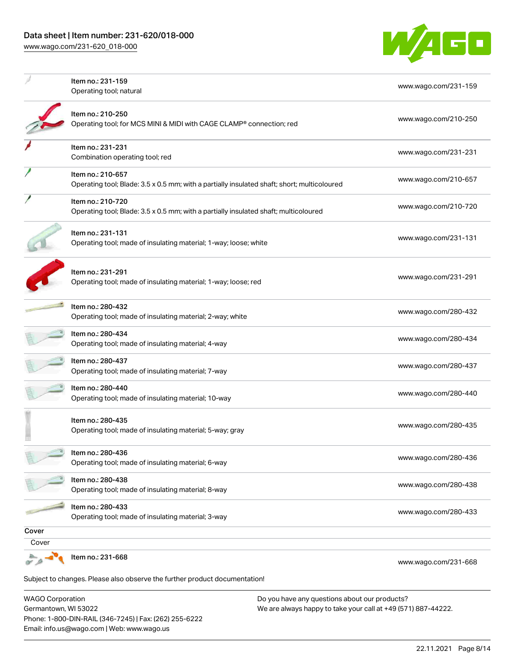

|                         | Item no.: 231-159<br>Operating tool; natural                                                                     | www.wago.com/231-159 |
|-------------------------|------------------------------------------------------------------------------------------------------------------|----------------------|
|                         | Item no.: 210-250<br>Operating tool; for MCS MINI & MIDI with CAGE CLAMP® connection; red                        | www.wago.com/210-250 |
|                         | Item no.: 231-231<br>Combination operating tool; red                                                             | www.wago.com/231-231 |
|                         | Item no.: 210-657<br>Operating tool; Blade: 3.5 x 0.5 mm; with a partially insulated shaft; short; multicoloured | www.wago.com/210-657 |
|                         | Item no.: 210-720<br>Operating tool; Blade: 3.5 x 0.5 mm; with a partially insulated shaft; multicoloured        | www.wago.com/210-720 |
|                         | Item no.: 231-131<br>Operating tool; made of insulating material; 1-way; loose; white                            | www.wago.com/231-131 |
|                         | Item no.: 231-291<br>Operating tool; made of insulating material; 1-way; loose; red                              | www.wago.com/231-291 |
|                         | Item no.: 280-432<br>Operating tool; made of insulating material; 2-way; white                                   | www.wago.com/280-432 |
|                         | Item no.: 280-434<br>Operating tool; made of insulating material; 4-way                                          | www.wago.com/280-434 |
|                         | Item no.: 280-437<br>Operating tool; made of insulating material; 7-way                                          | www.wago.com/280-437 |
|                         | Item no.: 280-440<br>Operating tool; made of insulating material; 10-way                                         | www.wago.com/280-440 |
|                         | Item no.: 280-435<br>Operating tool; made of insulating material; 5-way; gray                                    | www.wago.com/280-435 |
| 78)                     | Item no.: 280-436<br>Operating tool; made of insulating material; 6-way                                          | www.wago.com/280-436 |
|                         | Item no.: 280-438<br>Operating tool; made of insulating material; 8-way                                          | www.wago.com/280-438 |
|                         | Item no.: 280-433<br>Operating tool; made of insulating material; 3-way                                          | www.wago.com/280-433 |
| Cover                   |                                                                                                                  |                      |
| Cover                   |                                                                                                                  |                      |
|                         | Item no.: 231-668                                                                                                | www.wago.com/231-668 |
|                         | Subject to changes. Please also observe the further product documentation!                                       |                      |
| <b>WAGO Corporation</b> | Do you have any questions about our products?                                                                    |                      |

WAGO Corporation Germantown, WI 53022 Phone: 1-800-DIN-RAIL (346-7245) | Fax: (262) 255-6222 Email: info.us@wago.com | Web: www.wago.us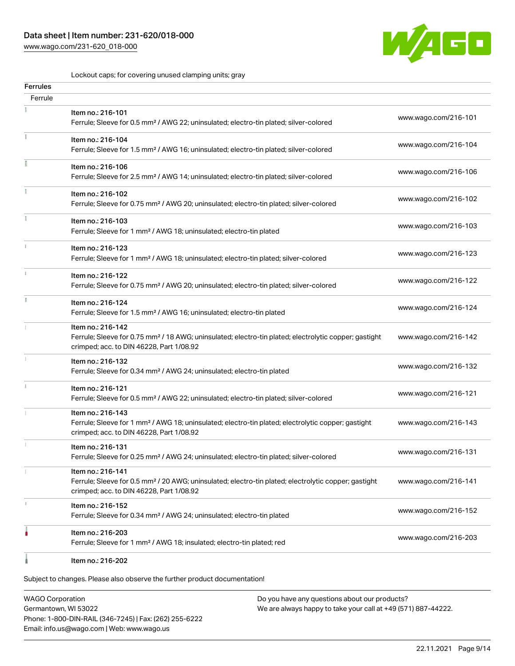# Data sheet | Item number: 231-620/018-000

[www.wago.com/231-620\\_018-000](http://www.wago.com/231-620_018-000)



Lockout caps; for covering unused clamping units; gray

| <b>Ferrules</b><br>Ferrule |                                                                                                                                                                                    |                      |
|----------------------------|------------------------------------------------------------------------------------------------------------------------------------------------------------------------------------|----------------------|
|                            |                                                                                                                                                                                    |                      |
|                            | Item no.: 216-101<br>Ferrule; Sleeve for 0.5 mm <sup>2</sup> / AWG 22; uninsulated; electro-tin plated; silver-colored                                                             | www.wago.com/216-101 |
|                            | Item no.: 216-104<br>Ferrule; Sleeve for 1.5 mm <sup>2</sup> / AWG 16; uninsulated; electro-tin plated; silver-colored                                                             | www.wago.com/216-104 |
|                            | Item no.: 216-106<br>Ferrule; Sleeve for 2.5 mm <sup>2</sup> / AWG 14; uninsulated; electro-tin plated; silver-colored                                                             | www.wago.com/216-106 |
|                            | Item no.: 216-102<br>Ferrule; Sleeve for 0.75 mm <sup>2</sup> / AWG 20; uninsulated; electro-tin plated; silver-colored                                                            | www.wago.com/216-102 |
|                            | Item no.: 216-103<br>Ferrule; Sleeve for 1 mm <sup>2</sup> / AWG 18; uninsulated; electro-tin plated                                                                               | www.wago.com/216-103 |
|                            | Item no.: 216-123<br>Ferrule; Sleeve for 1 mm <sup>2</sup> / AWG 18; uninsulated; electro-tin plated; silver-colored                                                               | www.wago.com/216-123 |
|                            | Item no.: 216-122<br>Ferrule; Sleeve for 0.75 mm <sup>2</sup> / AWG 20; uninsulated; electro-tin plated; silver-colored                                                            | www.wago.com/216-122 |
|                            | Item no.: 216-124<br>Ferrule; Sleeve for 1.5 mm <sup>2</sup> / AWG 16; uninsulated; electro-tin plated                                                                             | www.wago.com/216-124 |
|                            | Item no.: 216-142<br>Ferrule; Sleeve for 0.75 mm <sup>2</sup> / 18 AWG; uninsulated; electro-tin plated; electrolytic copper; gastight<br>crimped; acc. to DIN 46228, Part 1/08.92 | www.wago.com/216-142 |
|                            | Item no.: 216-132<br>Ferrule; Sleeve for 0.34 mm <sup>2</sup> / AWG 24; uninsulated; electro-tin plated                                                                            | www.wago.com/216-132 |
|                            | Item no.: 216-121<br>Ferrule; Sleeve for 0.5 mm <sup>2</sup> / AWG 22; uninsulated; electro-tin plated; silver-colored                                                             | www.wago.com/216-121 |
|                            | Item no.: 216-143<br>Ferrule; Sleeve for 1 mm <sup>2</sup> / AWG 18; uninsulated; electro-tin plated; electrolytic copper; gastight<br>crimped; acc. to DIN 46228, Part 1/08.92    | www.wago.com/216-143 |
|                            | Item no.: 216-131<br>Ferrule; Sleeve for 0.25 mm <sup>2</sup> / AWG 24; uninsulated; electro-tin plated; silver-colored                                                            | www.wago.com/216-131 |
|                            | Item no.: 216-141<br>Ferrule; Sleeve for 0.5 mm <sup>2</sup> / 20 AWG; uninsulated; electro-tin plated; electrolytic copper; gastight<br>crimped; acc. to DIN 46228, Part 1/08.92  | www.wago.com/216-141 |
|                            | Item no.: 216-152<br>Ferrule; Sleeve for 0.34 mm <sup>2</sup> / AWG 24; uninsulated; electro-tin plated                                                                            | www.wago.com/216-152 |
|                            | Item no.: 216-203<br>Ferrule; Sleeve for 1 mm <sup>2</sup> / AWG 18; insulated; electro-tin plated; red                                                                            | www.wago.com/216-203 |
|                            | Item no.: 216-202                                                                                                                                                                  |                      |

Subject to changes. Please also observe the further product documentation!

WAGO Corporation Germantown, WI 53022 Phone: 1-800-DIN-RAIL (346-7245) | Fax: (262) 255-6222 Email: info.us@wago.com | Web: www.wago.us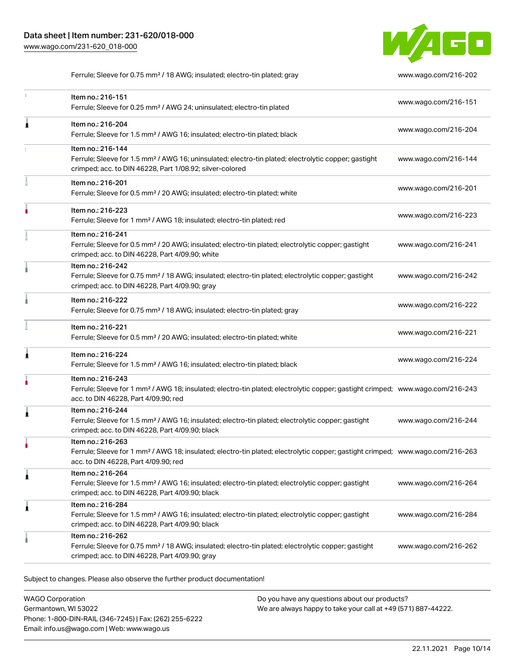

Ferrule; Sleeve for 0.75 mm² / 18 AWG; insulated; electro-tin plated; gray [www.wago.com/216-202](http://www.wago.com/216-202)

| T. | Item no.: 216-151<br>Ferrule; Sleeve for 0.25 mm <sup>2</sup> / AWG 24; uninsulated; electro-tin plated                                                                                                 | www.wago.com/216-151 |
|----|---------------------------------------------------------------------------------------------------------------------------------------------------------------------------------------------------------|----------------------|
| Â  | Item no.: 216-204<br>Ferrule; Sleeve for 1.5 mm <sup>2</sup> / AWG 16; insulated; electro-tin plated; black                                                                                             | www.wago.com/216-204 |
|    | Item no.: 216-144<br>Ferrule; Sleeve for 1.5 mm <sup>2</sup> / AWG 16; uninsulated; electro-tin plated; electrolytic copper; gastight<br>crimped; acc. to DIN 46228, Part 1/08.92; silver-colored       | www.wago.com/216-144 |
|    | Item no.: 216-201<br>Ferrule; Sleeve for 0.5 mm <sup>2</sup> / 20 AWG; insulated; electro-tin plated; white                                                                                             | www.wago.com/216-201 |
|    | Item no.: 216-223<br>Ferrule; Sleeve for 1 mm <sup>2</sup> / AWG 18; insulated; electro-tin plated; red                                                                                                 | www.wago.com/216-223 |
|    | Item no.: 216-241<br>Ferrule; Sleeve for 0.5 mm <sup>2</sup> / 20 AWG; insulated; electro-tin plated; electrolytic copper; gastight<br>crimped; acc. to DIN 46228, Part 4/09.90; white                  | www.wago.com/216-241 |
|    | Item no.: 216-242<br>Ferrule; Sleeve for 0.75 mm <sup>2</sup> / 18 AWG; insulated; electro-tin plated; electrolytic copper; gastight<br>crimped; acc. to DIN 46228, Part 4/09.90; gray                  | www.wago.com/216-242 |
|    | Item no.: 216-222<br>Ferrule; Sleeve for 0.75 mm <sup>2</sup> / 18 AWG; insulated; electro-tin plated; gray                                                                                             | www.wago.com/216-222 |
|    | Item no.: 216-221<br>Ferrule; Sleeve for 0.5 mm <sup>2</sup> / 20 AWG; insulated; electro-tin plated; white                                                                                             | www.wago.com/216-221 |
| A  | Item no.: 216-224<br>Ferrule; Sleeve for 1.5 mm <sup>2</sup> / AWG 16; insulated; electro-tin plated; black                                                                                             | www.wago.com/216-224 |
|    | Item no.: 216-243<br>Ferrule; Sleeve for 1 mm <sup>2</sup> / AWG 18; insulated; electro-tin plated; electrolytic copper; gastight crimped; www.wago.com/216-243<br>acc. to DIN 46228, Part 4/09.90; red |                      |
| 1  | Item no.: 216-244<br>Ferrule; Sleeve for 1.5 mm <sup>2</sup> / AWG 16; insulated; electro-tin plated; electrolytic copper; gastight<br>crimped; acc. to DIN 46228, Part 4/09.90; black                  | www.wago.com/216-244 |
|    | Item no.: 216-263<br>Ferrule; Sleeve for 1 mm <sup>2</sup> / AWG 18; insulated; electro-tin plated; electrolytic copper; gastight crimped; www.wago.com/216-263<br>acc. to DIN 46228, Part 4/09.90; red |                      |
| Â  | Item no.: 216-264<br>Ferrule; Sleeve for 1.5 mm <sup>2</sup> / AWG 16; insulated; electro-tin plated; electrolytic copper; gastight<br>crimped; acc. to DIN 46228, Part 4/09.90; black                  | www.wago.com/216-264 |
| 1  | Item no.: 216-284<br>Ferrule; Sleeve for 1.5 mm <sup>2</sup> / AWG 16; insulated; electro-tin plated; electrolytic copper; gastight<br>crimped; acc. to DIN 46228, Part 4/09.90; black                  | www.wago.com/216-284 |
|    | Item no.: 216-262<br>Ferrule; Sleeve for 0.75 mm <sup>2</sup> / 18 AWG; insulated; electro-tin plated; electrolytic copper; gastight<br>crimped; acc. to DIN 46228, Part 4/09.90; gray                  | www.wago.com/216-262 |

Subject to changes. Please also observe the further product documentation!

WAGO Corporation Germantown, WI 53022 Phone: 1-800-DIN-RAIL (346-7245) | Fax: (262) 255-6222 Email: info.us@wago.com | Web: www.wago.us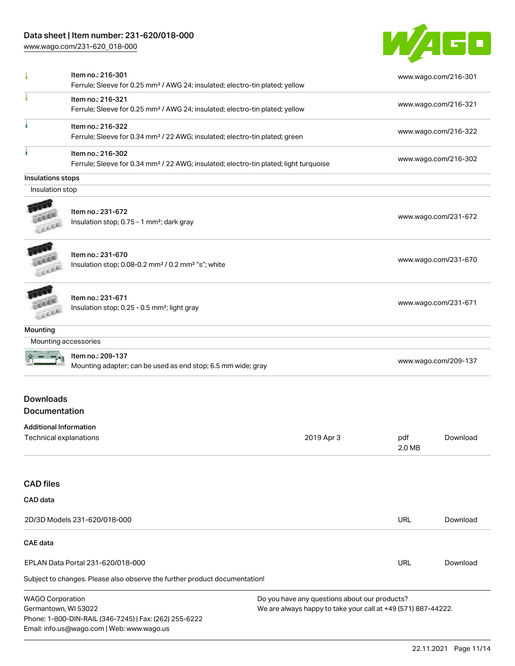# Data sheet | Item number: 231-620/018-000

[www.wago.com/231-620\\_018-000](http://www.wago.com/231-620_018-000)



| Leee                                     |                                                                                                 |            |               |                      |
|------------------------------------------|-------------------------------------------------------------------------------------------------|------------|---------------|----------------------|
| Leece                                    | Item no.: 231-670<br>Insulation stop; 0.08-0.2 mm <sup>2</sup> / 0.2 mm <sup>2</sup> "s"; white |            |               | www.wago.com/231-670 |
| LEEL                                     | Item no.: 231-671<br>Insulation stop; 0.25 - 0.5 mm <sup>2</sup> ; light gray                   |            |               | www.wago.com/231-671 |
| Mounting                                 |                                                                                                 |            |               |                      |
| Mounting accessories                     |                                                                                                 |            |               |                      |
|                                          | Item no.: 209-137<br>Mounting adapter; can be used as end stop; 6.5 mm wide; gray               |            |               | www.wago.com/209-137 |
| <b>Downloads</b><br><b>Documentation</b> |                                                                                                 |            |               |                      |
| <b>Additional Information</b>            |                                                                                                 |            |               |                      |
| Technical explanations                   |                                                                                                 | 2019 Apr 3 | pdf<br>2.0 MB | Download             |
| <b>CAD files</b>                         |                                                                                                 |            |               |                      |
| CAD data                                 |                                                                                                 |            |               |                      |
|                                          | 2D/3D Models 231-620/018-000                                                                    |            | URL           | Download             |
| CAE data                                 |                                                                                                 |            |               |                      |
|                                          | EPLAN Data Portal 231-620/018-000                                                               |            | URL           | Download             |
|                                          |                                                                                                 |            |               |                      |
|                                          | Subject to changes. Please also observe the further product documentation!                      |            |               |                      |

Germantown, WI 53022 Phone: 1-800-DIN-RAIL (346-7245) | Fax: (262) 255-6222 Email: info.us@wago.com | Web: www.wago.us

We are always happy to take your call at +49 (571) 887-44222.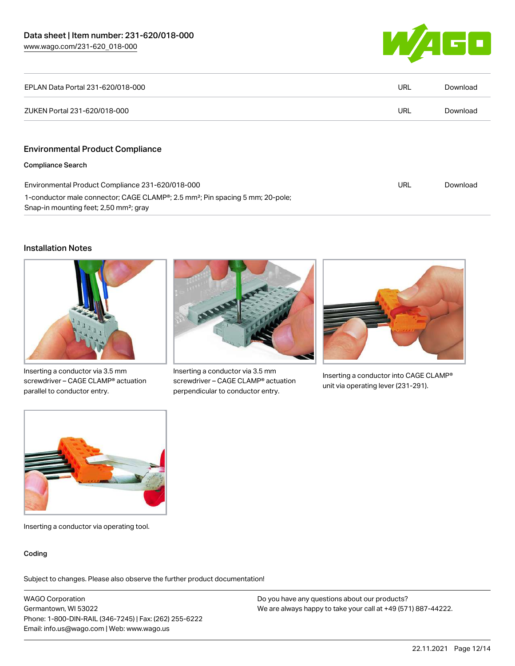

| EPLAN Data Portal 231-620/018-000                                                                                                               | URL | Download |
|-------------------------------------------------------------------------------------------------------------------------------------------------|-----|----------|
| ZUKEN Portal 231-620/018-000                                                                                                                    | URL | Download |
| <b>Environmental Product Compliance</b>                                                                                                         |     |          |
| <b>Compliance Search</b>                                                                                                                        |     |          |
| Environmental Product Compliance 231-620/018-000                                                                                                | URL | Download |
| 1-conductor male connector; CAGE CLAMP®; 2.5 mm <sup>2</sup> ; Pin spacing 5 mm; 20-pole;<br>Snap-in mounting feet; 2,50 mm <sup>2</sup> ; gray |     |          |

#### Installation Notes



Inserting a conductor via 3.5 mm screwdriver – CAGE CLAMP® actuation parallel to conductor entry.



Inserting a conductor via 3.5 mm screwdriver – CAGE CLAMP® actuation perpendicular to conductor entry.



Inserting a conductor into CAGE CLAMP® unit via operating lever (231-291).



Inserting a conductor via operating tool.

#### Coding

Subject to changes. Please also observe the further product documentation!

WAGO Corporation Germantown, WI 53022 Phone: 1-800-DIN-RAIL (346-7245) | Fax: (262) 255-6222 Email: info.us@wago.com | Web: www.wago.us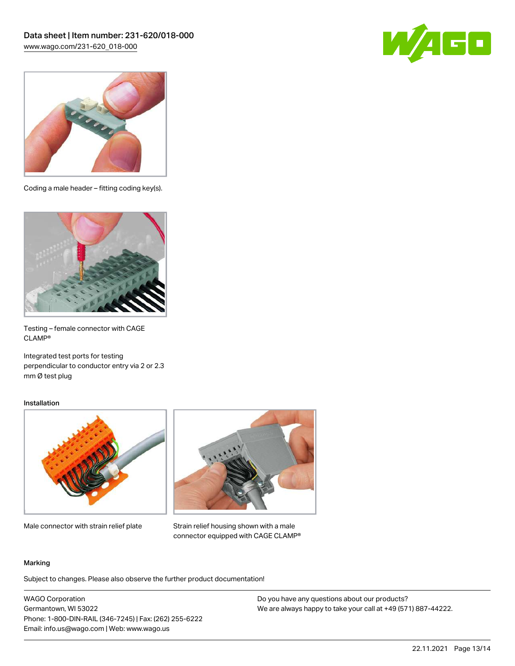



Coding a male header – fitting coding key(s).



Testing – female connector with CAGE CLAMP®

Integrated test ports for testing perpendicular to conductor entry via 2 or 2.3 mm Ø test plug

#### Installation



Male connector with strain relief plate



Strain relief housing shown with a male connector equipped with CAGE CLAMP®

#### Marking

Subject to changes. Please also observe the further product documentation!

WAGO Corporation Germantown, WI 53022 Phone: 1-800-DIN-RAIL (346-7245) | Fax: (262) 255-6222 Email: info.us@wago.com | Web: www.wago.us